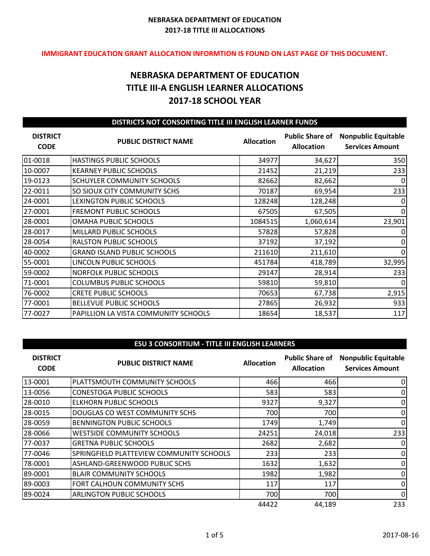#### **IMMIGRANT EDUCATION GRANT ALLOCATION INFORMTION IS FOUND ON LAST PAGE OF THIS DOCUMENT.**

# **NEBRASKA DEPARTMENT OF EDUCATION TITLE III-A ENGLISH LEARNER ALLOCATIONS 2017-18 SCHOOL YEAR**

| DISTRICTS NOT CONSORTING TITLE III ENGLISH LEARNER FUNDS |                                      |                   |                                             |                                                      |
|----------------------------------------------------------|--------------------------------------|-------------------|---------------------------------------------|------------------------------------------------------|
| <b>DISTRICT</b><br><b>CODE</b>                           | <b>PUBLIC DISTRICT NAME</b>          | <b>Allocation</b> | <b>Public Share of</b><br><b>Allocation</b> | <b>Nonpublic Equitable</b><br><b>Services Amount</b> |
| 01-0018                                                  | <b>HASTINGS PUBLIC SCHOOLS</b>       | 34977             | 34,627                                      | 350                                                  |
| 10-0007                                                  | <b>KEARNEY PUBLIC SCHOOLS</b>        | 21452             | 21,219                                      | 233                                                  |
| 19-0123                                                  | SCHUYLER COMMUNITY SCHOOLS           | 82662             | 82,662                                      | 0                                                    |
| 22-0011                                                  | SO SIOUX CITY COMMUNITY SCHS         | 70187             | 69,954                                      | 233                                                  |
| 24-0001                                                  | LEXINGTON PUBLIC SCHOOLS             | 128248            | 128,248                                     | 0                                                    |
| 27-0001                                                  | <b>FREMONT PUBLIC SCHOOLS</b>        | 67505             | 67,505                                      | 0                                                    |
| 28-0001                                                  | OMAHA PUBLIC SCHOOLS                 | 1084515           | 1,060,614                                   | 23,901                                               |
| 28-0017                                                  | MILLARD PUBLIC SCHOOLS               | 57828             | 57,828                                      | $\Omega$                                             |
| 28-0054                                                  | <b>RALSTON PUBLIC SCHOOLS</b>        | 37192             | 37,192                                      | 0                                                    |
| 40-0002                                                  | <b>GRAND ISLAND PUBLIC SCHOOLS</b>   | 211610            | 211,610                                     | 0                                                    |
| 55-0001                                                  | LINCOLN PUBLIC SCHOOLS               | 451784            | 418,789                                     | 32,995                                               |
| 59-0002                                                  | <b>NORFOLK PUBLIC SCHOOLS</b>        | 29147             | 28,914                                      | 233                                                  |
| 71-0001                                                  | <b>COLUMBUS PUBLIC SCHOOLS</b>       | 59810             | 59,810                                      | 0                                                    |
| 76-0002                                                  | <b>CRETE PUBLIC SCHOOLS</b>          | 70653             | 67,738                                      | 2,915                                                |
| 77-0001                                                  | <b>BELLEVUE PUBLIC SCHOOLS</b>       | 27865             | 26,932                                      | 933                                                  |
| 77-0027                                                  | PAPILLION LA VISTA COMMUNITY SCHOOLS | 18654             | 18,537                                      | 117                                                  |

#### **ESU 3 CONSORTIUM - TITLE III ENGLISH LEARNERS**

| <b>DISTRICT</b><br><b>CODE</b> | <b>PUBLIC DISTRICT NAME</b>              | <b>Allocation</b> | <b>Public Share of</b><br><b>Allocation</b> | <b>Nonpublic Equitable</b><br><b>Services Amount</b> |
|--------------------------------|------------------------------------------|-------------------|---------------------------------------------|------------------------------------------------------|
| 13-0001                        | PLATTSMOUTH COMMUNITY SCHOOLS            | 466               | 466                                         | 0                                                    |
| 13-0056                        | <b>CONESTOGA PUBLIC SCHOOLS</b>          | 583               | 583                                         | 0                                                    |
| 28-0010                        | <b>ELKHORN PUBLIC SCHOOLS</b>            | 9327              | 9,327                                       | 0                                                    |
| 28-0015                        | DOUGLAS CO WEST COMMUNITY SCHS           | 700               | 700                                         | 0                                                    |
| 28-0059                        | BENNINGTON PUBLIC SCHOOLS                | 1749              | 1,749                                       | 0                                                    |
| 28-0066                        | <b>WESTSIDE COMMUNITY SCHOOLS</b>        | 24251             | 24,018                                      | 233                                                  |
| 77-0037                        | <b>GRETNA PUBLIC SCHOOLS</b>             | 2682              | 2,682                                       | 0                                                    |
| 77-0046                        | SPRINGFIELD PLATTEVIEW COMMUNITY SCHOOLS | 233               | 233                                         | 0                                                    |
| 78-0001                        | ASHLAND-GREENWOOD PUBLIC SCHS            | 1632              | 1,632                                       | 0                                                    |
| 89-0001                        | <b>BLAIR COMMUNITY SCHOOLS</b>           | 1982              | 1,982                                       | 0                                                    |
| 89-0003                        | FORT CALHOUN COMMUNITY SCHS              | 117               | 117                                         | 0                                                    |
| 89-0024                        | <b>ARLINGTON PUBLIC SCHOOLS</b>          | 700               | 700                                         | 0                                                    |
|                                |                                          | 44422             | 44,189                                      | 233                                                  |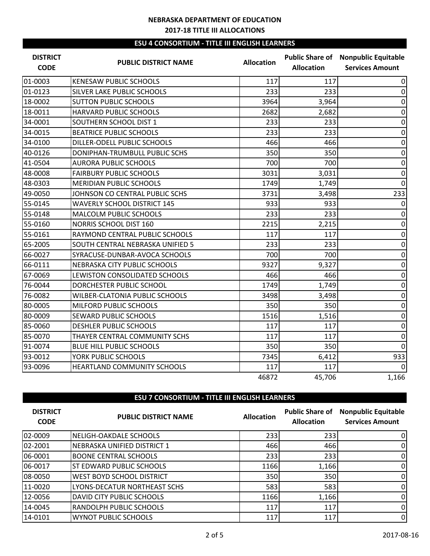## **ESU 4 CONSORTIUM - TITLE III ENGLISH LEARNERS**

| <b>DISTRICT</b><br><b>CODE</b> | <b>PUBLIC DISTRICT NAME</b>        | <b>Allocation</b> | <b>Allocation</b> | <b>Public Share of Nonpublic Equitable</b><br><b>Services Amount</b> |
|--------------------------------|------------------------------------|-------------------|-------------------|----------------------------------------------------------------------|
| 01-0003                        | <b>KENESAW PUBLIC SCHOOLS</b>      | 117               | 117               | 0                                                                    |
| 01-0123                        | SILVER LAKE PUBLIC SCHOOLS         | 233               | 233               | $\Omega$                                                             |
| 18-0002                        | <b>SUTTON PUBLIC SCHOOLS</b>       | 3964              | 3,964             | 0                                                                    |
| 18-0011                        | HARVARD PUBLIC SCHOOLS             | 2682              | 2,682             | $\Omega$                                                             |
| 34-0001                        | SOUTHERN SCHOOL DIST 1             | 233               | 233               | $\mathbf 0$                                                          |
| 34-0015                        | <b>BEATRICE PUBLIC SCHOOLS</b>     | 233               | 233               | $\Omega$                                                             |
| 34-0100                        | DILLER-ODELL PUBLIC SCHOOLS        | 466               | 466               | 0                                                                    |
| 40-0126                        | DONIPHAN-TRUMBULL PUBLIC SCHS      | 350               | 350               | $\Omega$                                                             |
| 41-0504                        | <b>AURORA PUBLIC SCHOOLS</b>       | 700               | 700               | 0                                                                    |
| 48-0008                        | <b>FAIRBURY PUBLIC SCHOOLS</b>     | 3031              | 3,031             | 0                                                                    |
| 48-0303                        | <b>MERIDIAN PUBLIC SCHOOLS</b>     | 1749              | 1,749             | $\Omega$                                                             |
| 49-0050                        | JOHNSON CO CENTRAL PUBLIC SCHS     | 3731              | 3,498             | 233                                                                  |
| 55-0145                        | <b>WAVERLY SCHOOL DISTRICT 145</b> | 933               | 933               | 0                                                                    |
| 55-0148                        | <b>MALCOLM PUBLIC SCHOOLS</b>      | 233               | 233               | $\mathbf 0$                                                          |
| 55-0160                        | NORRIS SCHOOL DIST 160             | 2215              | 2,215             | 0                                                                    |
| 55-0161                        | RAYMOND CENTRAL PUBLIC SCHOOLS     | 117               | 117               | 0                                                                    |
| 65-2005                        | SOUTH CENTRAL NEBRASKA UNIFIED 5   | 233               | 233               | $\mathbf 0$                                                          |
| 66-0027                        | SYRACUSE-DUNBAR-AVOCA SCHOOLS      | 700               | 700               | $\mathbf{0}$                                                         |
| 66-0111                        | NEBRASKA CITY PUBLIC SCHOOLS       | 9327              | 9,327             | $\Omega$                                                             |
| 67-0069                        | LEWISTON CONSOLIDATED SCHOOLS      | 466               | 466               | $\mathbf{0}$                                                         |
| 76-0044                        | DORCHESTER PUBLIC SCHOOL           | 1749              | 1,749             | 0                                                                    |
| 76-0082                        | WILBER-CLATONIA PUBLIC SCHOOLS     | 3498              | 3,498             | 0                                                                    |
| 80-0005                        | MILFORD PUBLIC SCHOOLS             | 350               | 350               | $\mathbf 0$                                                          |
| 80-0009                        | <b>SEWARD PUBLIC SCHOOLS</b>       | 1516              | 1,516             | $\mathbf{0}$                                                         |
| 85-0060                        | <b>DESHLER PUBLIC SCHOOLS</b>      | 117               | 117               | $\Omega$                                                             |
| 85-0070                        | THAYER CENTRAL COMMUNITY SCHS      | 117               | 117               | $\mathbf{0}$                                                         |
| 91-0074                        | <b>BLUE HILL PUBLIC SCHOOLS</b>    | 350               | 350               | $\Omega$                                                             |
| 93-0012                        | YORK PUBLIC SCHOOLS                | 7345              | 6,412             | 933                                                                  |
| 93-0096                        | HEARTLAND COMMUNITY SCHOOLS        | 117               | 117               | $\Omega$                                                             |
|                                |                                    | 46872             | 45,706            | 1,166                                                                |

# **ESU 7 CONSORTIUM - TITLE III ENGLISH LEARNERS**

| <b>DISTRICT</b><br><b>CODE</b> | <b>PUBLIC DISTRICT NAME</b>      | <b>Allocation</b> | <b>Public Share of</b><br><b>Allocation</b> | <b>Nonpublic Equitable</b><br><b>Services Amount</b> |
|--------------------------------|----------------------------------|-------------------|---------------------------------------------|------------------------------------------------------|
| 02-0009                        | NELIGH-OAKDALE SCHOOLS           | 233               | 233                                         | 01                                                   |
| $102 - 2001$                   | NEBRASKA UNIFIED DISTRICT 1      | 466               | 466                                         | 01                                                   |
| 06-0001                        | <b>BOONE CENTRAL SCHOOLS</b>     | 233               | 233                                         | 01                                                   |
| 06-0017                        | <b>ST EDWARD PUBLIC SCHOOLS</b>  | 1166              | 1,166                                       | 01                                                   |
| 08-0050                        | WEST BOYD SCHOOL DISTRICT        | 350               | 350                                         | 01                                                   |
| 11-0020                        | LYONS-DECATUR NORTHEAST SCHS     | 583               | 583                                         | 01                                                   |
| 12-0056                        | <b>DAVID CITY PUBLIC SCHOOLS</b> | 1166              | 1,166                                       | 01                                                   |
| 14-0045                        | <b>RANDOLPH PUBLIC SCHOOLS</b>   | 117               | 117                                         | $\overline{0}$                                       |
| 14-0101                        | <b>WYNOT PUBLIC SCHOOLS</b>      | 117               | 117                                         | 0                                                    |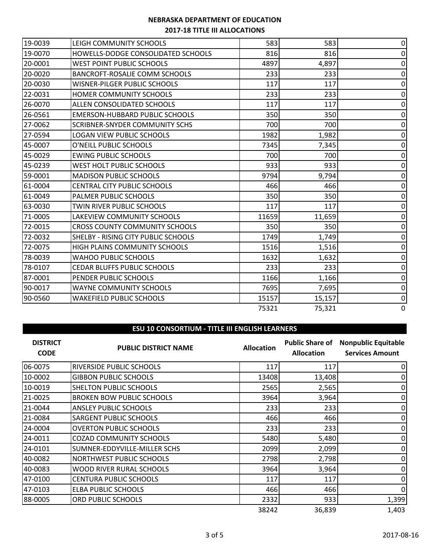| 19-0039<br>LEIGH COMMUNITY SCHOOLS               | 583   | 583    | $\overline{0}$   |
|--------------------------------------------------|-------|--------|------------------|
| 19-0070<br>HOWELLS-DODGE CONSOLIDATED SCHOOLS    | 816   | 816    | 0                |
| 20-0001<br>WEST POINT PUBLIC SCHOOLS             | 4897  | 4,897  | 0                |
| 20-0020<br><b>BANCROFT-ROSALIE COMM SCHOOLS</b>  | 233   | 233    | $\Omega$         |
| 20-0030<br><b>WISNER-PILGER PUBLIC SCHOOLS</b>   | 117   | 117    | 0                |
| 22-0031<br>HOMER COMMUNITY SCHOOLS               | 233   | 233    | $\Omega$         |
| ALLEN CONSOLIDATED SCHOOLS<br>26-0070            | 117   | 117    | $\mathbf{0}$     |
| 26-0561<br><b>EMERSON-HUBBARD PUBLIC SCHOOLS</b> | 350   | 350    | $\Omega$         |
| 27-0062<br><b>SCRIBNER-SNYDER COMMUNITY SCHS</b> | 700   | 700    | $\mathbf 0$      |
| 27-0594<br><b>LOGAN VIEW PUBLIC SCHOOLS</b>      | 1982  | 1,982  | 0                |
| 45-0007<br>O'NEILL PUBLIC SCHOOLS                | 7345  | 7,345  | 0                |
| 45-0029<br><b>EWING PUBLIC SCHOOLS</b>           | 700   | 700    | 0                |
| 45-0239<br><b>WEST HOLT PUBLIC SCHOOLS</b>       | 933   | 933    | 0                |
| 59-0001<br><b>MADISON PUBLIC SCHOOLS</b>         | 9794  | 9,794  | 0                |
| 61-0004<br><b>CENTRAL CITY PUBLIC SCHOOLS</b>    | 466   | 466    | 0                |
| 61-0049<br>PALMER PUBLIC SCHOOLS                 | 350   | 350    | 0                |
| 63-0030<br>TWIN RIVER PUBLIC SCHOOLS             | 117   | 117    | $\mathbf{0}$     |
| 71-0005<br>LAKEVIEW COMMUNITY SCHOOLS            | 11659 | 11,659 | 0                |
| 72-0015<br><b>CROSS COUNTY COMMUNITY SCHOOLS</b> | 350   | 350    | 0                |
| 72-0032<br>SHELBY - RISING CITY PUBLIC SCHOOLS   | 1749  | 1,749  | 0                |
| 72-0075<br>HIGH PLAINS COMMUNITY SCHOOLS         | 1516  | 1,516  | 0                |
| 78-0039<br><b>WAHOO PUBLIC SCHOOLS</b>           | 1632  | 1,632  | 0                |
| 78-0107<br><b>CEDAR BLUFFS PUBLIC SCHOOLS</b>    | 233   | 233    | 0                |
| 87-0001<br>PENDER PUBLIC SCHOOLS                 | 1166  | 1,166  | $\mathbf{0}$     |
| 90-0017<br><b>WAYNE COMMUNITY SCHOOLS</b>        | 7695  | 7,695  | $\mathbf 0$      |
| 90-0560<br><b>WAKEFIELD PUBLIC SCHOOLS</b>       | 15157 | 15,157 | $\boldsymbol{0}$ |
|                                                  | 75321 | 75,321 | $\Omega$         |

#### **ESU 10 CONSORTIUM - TITLE III ENGLISH LEARNERS**

| <b>DISTRICT</b><br><b>CODE</b> | <b>PUBLIC DISTRICT NAME</b>      | <b>Allocation</b> | <b>Allocation</b> | <b>Public Share of Nonpublic Equitable</b><br><b>Services Amount</b> |
|--------------------------------|----------------------------------|-------------------|-------------------|----------------------------------------------------------------------|
| 06-0075                        | <b>RIVERSIDE PUBLIC SCHOOLS</b>  | 117               | 117               |                                                                      |
| 10-0002                        | <b>GIBBON PUBLIC SCHOOLS</b>     | 13408             | 13,408            | 0                                                                    |
| 10-0019                        | SHELTON PUBLIC SCHOOLS           | 2565              | 2,565             | 0                                                                    |
| 21-0025                        | <b>BROKEN BOW PUBLIC SCHOOLS</b> | 3964              | 3,964             | 0                                                                    |
| 21-0044                        | <b>ANSLEY PUBLIC SCHOOLS</b>     | 233               | 233               | 0                                                                    |
| 21-0084                        | <b>SARGENT PUBLIC SCHOOLS</b>    | 466               | 466               |                                                                      |
| 24-0004                        | <b>OVERTON PUBLIC SCHOOLS</b>    | 233               | 233               |                                                                      |
| 24-0011                        | <b>COZAD COMMUNITY SCHOOLS</b>   | 5480              | 5,480             | 0                                                                    |
| 24-0101                        | SUMNER-EDDYVILLE-MILLER SCHS     | 2099              | 2,099             | 0                                                                    |
| 40-0082                        | <b>NORTHWEST PUBLIC SCHOOLS</b>  | 2798              | 2,798             | 0                                                                    |
| 40-0083                        | WOOD RIVER RURAL SCHOOLS         | 3964              | 3,964             | 0                                                                    |
| 47-0100                        | <b>CENTURA PUBLIC SCHOOLS</b>    | 117               | 117               | 0                                                                    |
| 47-0103                        | <b>ELBA PUBLIC SCHOOLS</b>       | 466               | 466               | 0                                                                    |
| 88-0005                        | ORD PUBLIC SCHOOLS               | 2332              | 933               | 1,399                                                                |
|                                |                                  | 38242             | 36,839            | 1,403                                                                |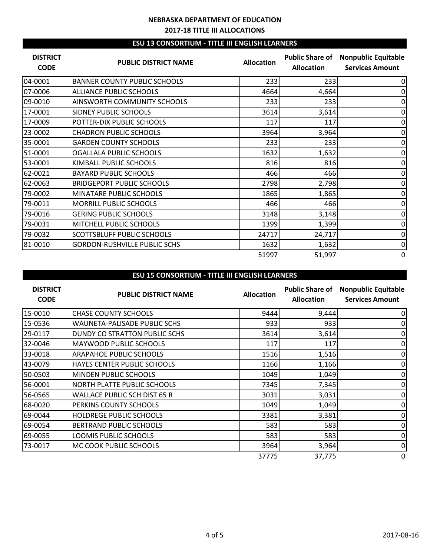### **ESU 13 CONSORTIUM - TITLE III ENGLISH LEARNERS**

| <b>DISTRICT</b><br><b>CODE</b> | <b>PUBLIC DISTRICT NAME</b>         | <b>Allocation</b> | <b>Allocation</b> | <b>Public Share of Nonpublic Equitable</b><br><b>Services Amount</b> |
|--------------------------------|-------------------------------------|-------------------|-------------------|----------------------------------------------------------------------|
| 04-0001                        | <b>BANNER COUNTY PUBLIC SCHOOLS</b> | 233               | 233               | 0                                                                    |
| 07-0006                        | <b>ALLIANCE PUBLIC SCHOOLS</b>      | 4664              | 4,664             | 0                                                                    |
| 09-0010                        | <b>AINSWORTH COMMUNITY SCHOOLS</b>  | 233               | 233               | 0                                                                    |
| 17-0001                        | <b>SIDNEY PUBLIC SCHOOLS</b>        | 3614              | 3,614             | 0                                                                    |
| 17-0009                        | POTTER-DIX PUBLIC SCHOOLS           | 117               | 117               | 0                                                                    |
| 23-0002                        | <b>CHADRON PUBLIC SCHOOLS</b>       | 3964              | 3,964             | 0                                                                    |
| 35-0001                        | <b>GARDEN COUNTY SCHOOLS</b>        | 233               | 233               | 0                                                                    |
| 51-0001                        | OGALLALA PUBLIC SCHOOLS             | 1632              | 1,632             | 0                                                                    |
| 53-0001                        | KIMBALL PUBLIC SCHOOLS              | 816               | 816               | 0                                                                    |
| 62-0021                        | <b>BAYARD PUBLIC SCHOOLS</b>        | 466               | 466               | 0                                                                    |
| 62-0063                        | <b>BRIDGEPORT PUBLIC SCHOOLS</b>    | 2798              | 2,798             | 0                                                                    |
| 79-0002                        | MINATARE PUBLIC SCHOOLS             | 1865              | 1,865             | 0                                                                    |
| 79-0011                        | <b>MORRILL PUBLIC SCHOOLS</b>       | 466               | 466               | 0                                                                    |
| 79-0016                        | <b>GERING PUBLIC SCHOOLS</b>        | 3148              | 3,148             | 0                                                                    |
| 79-0031                        | MITCHELL PUBLIC SCHOOLS             | 1399              | 1,399             | 0                                                                    |
| 79-0032                        | <b>SCOTTSBLUFF PUBLIC SCHOOLS</b>   | 24717             | 24,717            | 0                                                                    |
| 81-0010                        | <b>GORDON-RUSHVILLE PUBLIC SCHS</b> | 1632              | 1,632             | 0                                                                    |
|                                |                                     | 51997             | 51,997            | $\Omega$                                                             |

# **ESU 15 CONSORTIUM - TITLE III ENGLISH LEARNERS**

| <b>DISTRICT</b><br><b>CODE</b> | <b>PUBLIC DISTRICT NAME</b>        | <b>Allocation</b> | <b>Public Share of</b><br><b>Allocation</b> | <b>Nonpublic Equitable</b><br><b>Services Amount</b> |
|--------------------------------|------------------------------------|-------------------|---------------------------------------------|------------------------------------------------------|
| 15-0010                        | <b>CHASE COUNTY SCHOOLS</b>        | 9444              | 9,444                                       | 0                                                    |
| 15-0536                        | WAUNETA-PALISADE PUBLIC SCHS       | 933               | 933                                         |                                                      |
| 29-0117                        | DUNDY CO STRATTON PUBLIC SCHS      | 3614              | 3,614                                       |                                                      |
| 32-0046                        | <b>MAYWOOD PUBLIC SCHOOLS</b>      | 117               | 117                                         |                                                      |
| 33-0018                        | <b>ARAPAHOE PUBLIC SCHOOLS</b>     | 1516              | 1,516                                       | 0                                                    |
| 43-0079                        | HAYES CENTER PUBLIC SCHOOLS        | 1166              | 1,166                                       | 0                                                    |
| 50-0503                        | MINDEN PUBLIC SCHOOLS              | 1049              | 1,049                                       | 0                                                    |
| 56-0001                        | <b>NORTH PLATTE PUBLIC SCHOOLS</b> | 7345              | 7,345                                       | 0                                                    |
| 56-0565                        | WALLACE PUBLIC SCH DIST 65 R       | 3031              | 3,031                                       |                                                      |
| 68-0020                        | PERKINS COUNTY SCHOOLS             | 1049              | 1,049                                       |                                                      |
| 69-0044                        | <b>HOLDREGE PUBLIC SCHOOLS</b>     | 3381              | 3,381                                       |                                                      |
| 69-0054                        | BERTRAND PUBLIC SCHOOLS            | 583               | 583                                         | 0                                                    |
| 69-0055                        | LOOMIS PUBLIC SCHOOLS              | 583               | 583                                         | 0                                                    |
| 73-0017                        | MC COOK PUBLIC SCHOOLS             | 3964              | 3,964                                       | 0                                                    |
|                                |                                    | 37775             | 37,775                                      | 0                                                    |